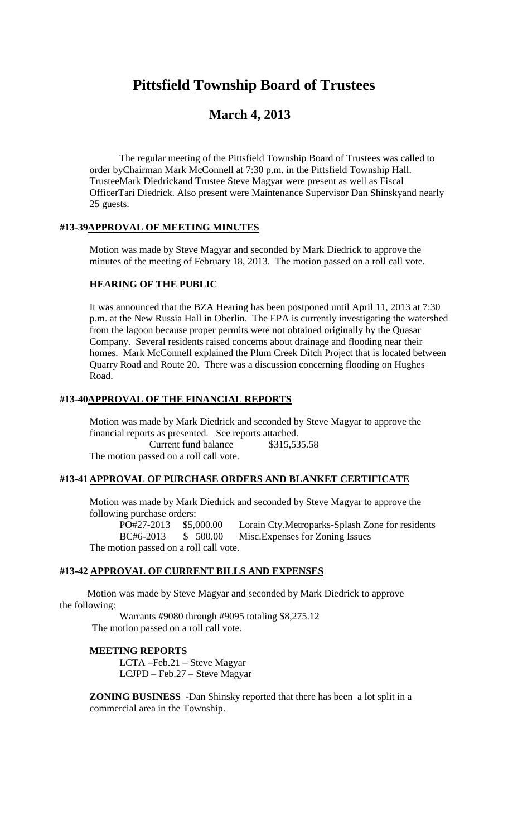# **Pittsfield Township Board of Trustees**

# **March 4, 2013**

The regular meeting of the Pittsfield Township Board of Trustees was called to order byChairman Mark McConnell at 7:30 p.m. in the Pittsfield Township Hall. TrusteeMark Diedrickand Trustee Steve Magyar were present as well as Fiscal OfficerTari Diedrick. Also present were Maintenance Supervisor Dan Shinskyand nearly 25 guests.

## **#13-39APPROVAL OF MEETING MINUTES**

Motion was made by Steve Magyar and seconded by Mark Diedrick to approve the minutes of the meeting of February 18, 2013. The motion passed on a roll call vote.

#### **HEARING OF THE PUBLIC**

It was announced that the BZA Hearing has been postponed until April 11, 2013 at 7:30 p.m. at the New Russia Hall in Oberlin. The EPA is currently investigating the watershed from the lagoon because proper permits were not obtained originally by the Quasar Company. Several residents raised concerns about drainage and flooding near their homes. Mark McConnell explained the Plum Creek Ditch Project that is located between Quarry Road and Route 20. There was a discussion concerning flooding on Hughes Road.

#### **#13-40APPROVAL OF THE FINANCIAL REPORTS**

Motion was made by Mark Diedrick and seconded by Steve Magyar to approve the financial reports as presented. See reports attached. Current fund balance \$315,535.58 The motion passed on a roll call vote.

#### **#13-41 APPROVAL OF PURCHASE ORDERS AND BLANKET CERTIFICATE**

Motion was made by Mark Diedrick and seconded by Steve Magyar to approve the following purchase orders:

PO#27-2013 \$5,000.00 Lorain Cty.Metroparks-Splash Zone for residents BC#6-2013 \$ 500.00 Misc.Expenses for Zoning Issues The motion passed on a roll call vote.

#### **#13-42 APPROVAL OF CURRENT BILLS AND EXPENSES**

Motion was made by Steve Magyar and seconded by Mark Diedrick to approve the following:

Warrants #9080 through #9095 totaling \$8,275.12 The motion passed on a roll call vote.

#### **MEETING REPORTS**

LCTA –Feb.21 – Steve Magyar LCJPD – Feb.27 – Steve Magyar

**ZONING BUSINESS -**Dan Shinsky reported that there has been a lot split in a commercial area in the Township.